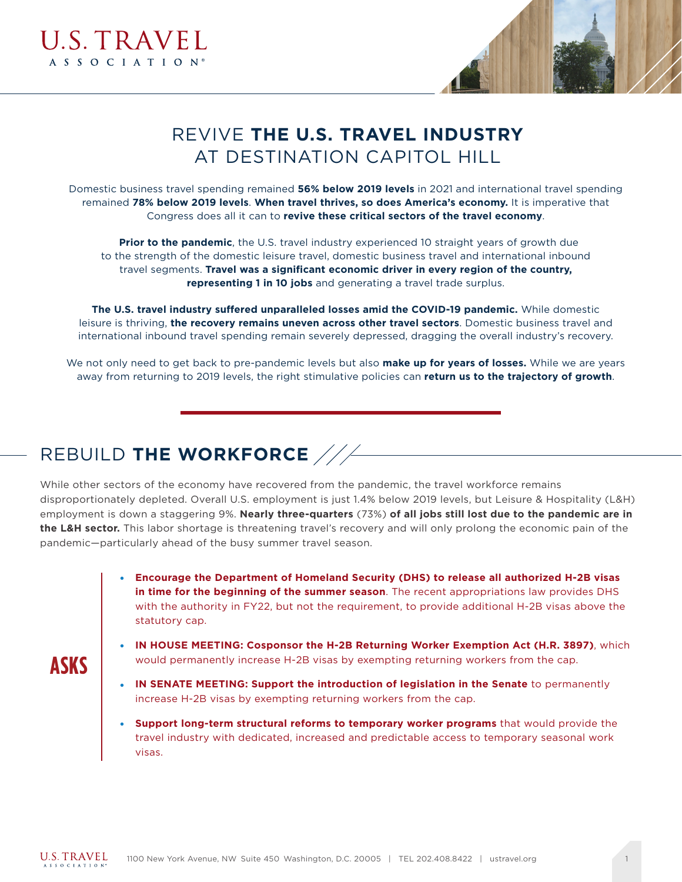



# REVIVE **THE U.S. TRAVEL INDUSTRY**  AT DESTINATION CAPITOL HILL

Domestic business travel spending remained **56% below 2019 levels** in 2021 and international travel spending remained **78% below 2019 levels**. **When travel thrives, so does America's economy.** It is imperative that Congress does all it can to **revive these critical sectors of the travel economy**.

**Prior to the pandemic**, the U.S. travel industry experienced 10 straight years of growth due to the strength of the domestic leisure travel, domestic business travel and international inbound travel segments. **Travel was a significant economic driver in every region of the country, representing 1 in 10 jobs** and generating a travel trade surplus.

**The U.S. travel industry suffered unparalleled losses amid the COVID-19 pandemic.** While domestic leisure is thriving, **the recovery remains uneven across other travel sectors**. Domestic business travel and international inbound travel spending remain severely depressed, dragging the overall industry's recovery.

We not only need to get back to pre-pandemic levels but also **make up for years of losses.** While we are years away from returning to 2019 levels, the right stimulative policies can **return us to the trajectory of growth**.

## REBUILD **THE WORKFORCE**

While other sectors of the economy have recovered from the pandemic, the travel workforce remains disproportionately depleted. Overall U.S. employment is just 1.4% below 2019 levels, but Leisure & Hospitality (L&H) employment is down a staggering 9%. **Nearly three-quarters** (73%) **of all jobs still lost due to the pandemic are in the L&H sector.** This labor shortage is threatening travel's recovery and will only prolong the economic pain of the pandemic—particularly ahead of the busy summer travel season.

- **Encourage the Department of Homeland Security (DHS) to release all authorized H-2B visas in time for the beginning of the summer season**. The recent appropriations law provides DHS with the authority in FY22, but not the requirement, to provide additional H-2B visas above the statutory cap.
- **ASKS**
- **IN HOUSE MEETING: Cosponsor the H-2B Returning Worker Exemption Act (H.R. 3897)**, which would permanently increase H-2B visas by exempting returning workers from the cap.
- **IN SENATE MEETING: Support the introduction of legislation in the Senate** to permanently increase H-2B visas by exempting returning workers from the cap.
- **Support long-term structural reforms to temporary worker programs** that would provide the travel industry with dedicated, increased and predictable access to temporary seasonal work visas.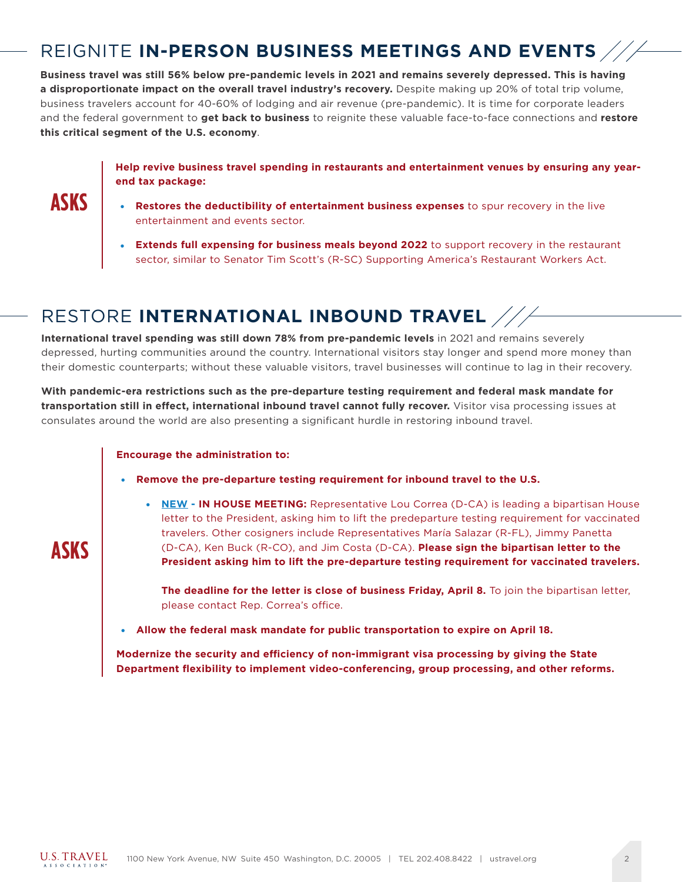# REIGNITE **IN-PERSON BUSINESS MEETINGS AND EVENTS**

**Business travel was still 56% below pre-pandemic levels in 2021 and remains severely depressed. This is having a disproportionate impact on the overall travel industry's recovery.** Despite making up 20% of total trip volume, business travelers account for 40-60% of lodging and air revenue (pre-pandemic). It is time for corporate leaders and the federal government to **get back to business** to reignite these valuable face-to-face connections and **restore this critical segment of the U.S. economy**.

### **Help revive business travel spending in restaurants and entertainment venues by ensuring any yearend tax package:**

**ASKS**

**ASKS**

- **Restores the deductibility of entertainment business expenses** to spur recovery in the live entertainment and events sector.
- **Extends full expensing for business meals beyond 2022** to support recovery in the restaurant sector, similar to Senator Tim Scott's (R-SC) Supporting America's Restaurant Workers Act.

## RESTORE **INTERNATIONAL INBOUND TRAVEL**

**International travel spending was still down 78% from pre-pandemic levels** in 2021 and remains severely depressed, hurting communities around the country. International visitors stay longer and spend more money than their domestic counterparts; without these valuable visitors, travel businesses will continue to lag in their recovery.

**With pandemic-era restrictions such as the pre-departure testing requirement and federal mask mandate for transportation still in effect, international inbound travel cannot fully recover.** Visitor visa processing issues at consulates around the world are also presenting a significant hurdle in restoring inbound travel.

#### **Encourage the administration to:**

- **Remove the pre-departure testing requirement for inbound travel to the U.S.** 
	- **NEW IN HOUSE MEETING:** Representative Lou Correa (D-CA) is leading a bipartisan House letter to the President, asking him to lift the predeparture testing requirement for vaccinated travelers. Other cosigners include Representatives María Salazar (R-FL), Jimmy Panetta (D-CA), Ken Buck (R-CO), and Jim Costa (D-CA). **Please sign the bipartisan letter to the President asking him to lift the pre-departure testing requirement for vaccinated travelers.**

**The deadline for the letter is close of business Friday, April 8.** To join the bipartisan letter, please contact Rep. Correa's office.

● **Allow the federal mask mandate for public transportation to expire on April 18.** 

**Modernize the security and efficiency of non-immigrant visa processing by giving the State Department flexibility to implement video-conferencing, group processing, and other reforms.**